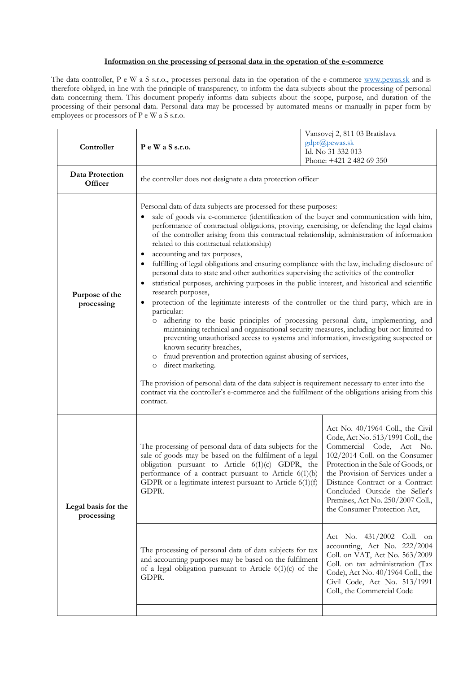## **Information on the processing of personal data in the operation of the e-commerce**

The data controller, P e W a S s.r.o., processes personal data in the operation of the e-commerce www.pewas.sk and is therefore obliged, in line with the principle of transparency, to inform the data subjects about the processing of personal data concerning them. This document properly informs data subjects about the scope, purpose, and duration of the processing of their personal data. Personal data may be processed by automated means or manually in paper form by employees or processors of P e W a S s.r.o.

|  | Controller                        | P e W a S s.r.o.                                                                                                                                                                                                                                                                                                                                                                                                                                                                                                                                                                                                                                                                                                                                                                                                                                                                                                                                                                                                                                                                                                                                                                                                                                                                                                                                                                                                                                                                                                   |  | Vansovej 2, 811 03 Bratislava<br>gdpr@pewas.sk<br>Id. No 31 332 013<br>Phone: +421 2 482 69 350                                                                                                                                                                                                                                                           |
|--|-----------------------------------|--------------------------------------------------------------------------------------------------------------------------------------------------------------------------------------------------------------------------------------------------------------------------------------------------------------------------------------------------------------------------------------------------------------------------------------------------------------------------------------------------------------------------------------------------------------------------------------------------------------------------------------------------------------------------------------------------------------------------------------------------------------------------------------------------------------------------------------------------------------------------------------------------------------------------------------------------------------------------------------------------------------------------------------------------------------------------------------------------------------------------------------------------------------------------------------------------------------------------------------------------------------------------------------------------------------------------------------------------------------------------------------------------------------------------------------------------------------------------------------------------------------------|--|-----------------------------------------------------------------------------------------------------------------------------------------------------------------------------------------------------------------------------------------------------------------------------------------------------------------------------------------------------------|
|  | Data Protection<br>Officer        | the controller does not designate a data protection officer                                                                                                                                                                                                                                                                                                                                                                                                                                                                                                                                                                                                                                                                                                                                                                                                                                                                                                                                                                                                                                                                                                                                                                                                                                                                                                                                                                                                                                                        |  |                                                                                                                                                                                                                                                                                                                                                           |
|  | Purpose of the<br>processing      | Personal data of data subjects are processed for these purposes:<br>sale of goods via e-commerce (identification of the buyer and communication with him,<br>performance of contractual obligations, proving, exercising, or defending the legal claims<br>of the controller arising from this contractual relationship, administration of information<br>related to this contractual relationship)<br>accounting and tax purposes,<br>٠<br>fulfilling of legal obligations and ensuring compliance with the law, including disclosure of<br>٠<br>personal data to state and other authorities supervising the activities of the controller<br>statistical purposes, archiving purposes in the public interest, and historical and scientific<br>٠<br>research purposes,<br>protection of the legitimate interests of the controller or the third party, which are in<br>$\bullet$<br>particular:<br>o adhering to the basic principles of processing personal data, implementing, and<br>maintaining technical and organisational security measures, including but not limited to<br>preventing unauthorised access to systems and information, investigating suspected or<br>known security breaches,<br>o fraud prevention and protection against abusing of services,<br>o direct marketing.<br>The provision of personal data of the data subject is requirement necessary to enter into the<br>contract via the controller's e-commerce and the fulfilment of the obligations arising from this<br>contract. |  |                                                                                                                                                                                                                                                                                                                                                           |
|  | Legal basis for the<br>processing | The processing of personal data of data subjects for the<br>sale of goods may be based on the fulfilment of a legal<br>obligation pursuant to Article 6(1)(c) GDPR, the<br>performance of a contract pursuant to Article $6(1)(b)$<br>GDPR or a legitimate interest pursuant to Article $6(1)(f)$<br>GDPR.                                                                                                                                                                                                                                                                                                                                                                                                                                                                                                                                                                                                                                                                                                                                                                                                                                                                                                                                                                                                                                                                                                                                                                                                         |  | Act No. 40/1964 Coll., the Civil<br>Code, Act No. 513/1991 Coll., the<br>Commercial Code, Act No.<br>102/2014 Coll. on the Consumer<br>Protection in the Sale of Goods, or<br>the Provision of Services under a<br>Distance Contract or a Contract<br>Concluded Outside the Seller's<br>Premises, Act No. 250/2007 Coll.,<br>the Consumer Protection Act, |
|  |                                   | The processing of personal data of data subjects for tax<br>and accounting purposes may be based on the fulfilment<br>of a legal obligation pursuant to Article $6(1)(c)$ of the<br>GDPR.                                                                                                                                                                                                                                                                                                                                                                                                                                                                                                                                                                                                                                                                                                                                                                                                                                                                                                                                                                                                                                                                                                                                                                                                                                                                                                                          |  | $431/2002$ Coll. on<br>Act No.<br>accounting, Act No. 222/2004<br>Coll. on VAT, Act No. 563/2009<br>Coll. on tax administration (Tax<br>Code), Act No. 40/1964 Coll., the<br>Civil Code, Act No. 513/1991<br>Coll., the Commercial Code                                                                                                                   |
|  |                                   |                                                                                                                                                                                                                                                                                                                                                                                                                                                                                                                                                                                                                                                                                                                                                                                                                                                                                                                                                                                                                                                                                                                                                                                                                                                                                                                                                                                                                                                                                                                    |  |                                                                                                                                                                                                                                                                                                                                                           |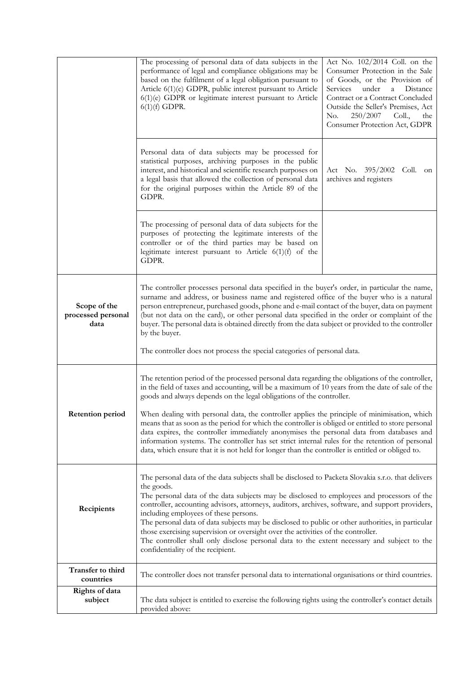|                                            | The processing of personal data of data subjects in the<br>performance of legal and compliance obligations may be<br>based on the fulfilment of a legal obligation pursuant to<br>Article 6(1)(c) GDPR, public interest pursuant to Article<br>$6(1)(e)$ GDPR or legitimate interest pursuant to Article<br>$6(1)(f)$ GDPR.                                                                                                                                                                                                                                                                                                                                                                                                                                                           | Act No. $102/2014$ Coll. on the<br>Consumer Protection in the Sale<br>of Goods, or the Provision of<br>Services<br>under<br>$\mathbf{a}$<br>Distance<br>Contract or a Contract Concluded<br>Outside the Seller's Premises, Act<br>250/2007<br>No.<br>Coll.,<br>the<br>Consumer Protection Act, GDPR |  |
|--------------------------------------------|---------------------------------------------------------------------------------------------------------------------------------------------------------------------------------------------------------------------------------------------------------------------------------------------------------------------------------------------------------------------------------------------------------------------------------------------------------------------------------------------------------------------------------------------------------------------------------------------------------------------------------------------------------------------------------------------------------------------------------------------------------------------------------------|-----------------------------------------------------------------------------------------------------------------------------------------------------------------------------------------------------------------------------------------------------------------------------------------------------|--|
|                                            | Personal data of data subjects may be processed for<br>statistical purposes, archiving purposes in the public<br>interest, and historical and scientific research purposes on<br>a legal basis that allowed the collection of personal data<br>for the original purposes within the Article 89 of the<br>GDPR.                                                                                                                                                                                                                                                                                                                                                                                                                                                                        | Act No. 395/2002 Coll. on<br>archives and registers                                                                                                                                                                                                                                                 |  |
|                                            | The processing of personal data of data subjects for the<br>purposes of protecting the legitimate interests of the<br>controller or of the third parties may be based on<br>legitimate interest pursuant to Article $6(1)(f)$ of the<br>GDPR.                                                                                                                                                                                                                                                                                                                                                                                                                                                                                                                                         |                                                                                                                                                                                                                                                                                                     |  |
| Scope of the<br>processed personal<br>data | The controller processes personal data specified in the buyer's order, in particular the name,<br>surname and address, or business name and registered office of the buyer who is a natural<br>person entrepreneur, purchased goods, phone and e-mail contact of the buyer, data on payment<br>(but not data on the card), or other personal data specified in the order or complaint of the<br>buyer. The personal data is obtained directly from the data subject or provided to the controller<br>by the buyer.<br>The controller does not process the special categories of personal data.                                                                                                                                                                                        |                                                                                                                                                                                                                                                                                                     |  |
| <b>Retention period</b>                    | The retention period of the processed personal data regarding the obligations of the controller,<br>in the field of taxes and accounting, will be a maximum of 10 years from the date of sale of the<br>goods and always depends on the legal obligations of the controller.<br>When dealing with personal data, the controller applies the principle of minimisation, which<br>means that as soon as the period for which the controller is obliged or entitled to store personal<br>data expires, the controller immediately anonymises the personal data from databases and<br>information systems. The controller has set strict internal rules for the retention of personal<br>data, which ensure that it is not held for longer than the controller is entitled or obliged to. |                                                                                                                                                                                                                                                                                                     |  |
| Recipients                                 | The personal data of the data subjects shall be disclosed to Packeta Slovakia s.r.o. that delivers<br>the goods.<br>The personal data of the data subjects may be disclosed to employees and processors of the<br>controller, accounting advisors, attorneys, auditors, archives, software, and support providers,<br>including employees of these persons.<br>The personal data of data subjects may be disclosed to public or other authorities, in particular<br>those exercising supervision or oversight over the activities of the controller.<br>The controller shall only disclose personal data to the extent necessary and subject to the<br>confidentiality of the recipient.                                                                                              |                                                                                                                                                                                                                                                                                                     |  |
| Transfer to third<br>countries             | The controller does not transfer personal data to international organisations or third countries.                                                                                                                                                                                                                                                                                                                                                                                                                                                                                                                                                                                                                                                                                     |                                                                                                                                                                                                                                                                                                     |  |
| Rights of data<br>subject                  | The data subject is entitled to exercise the following rights using the controller's contact details<br>provided above:                                                                                                                                                                                                                                                                                                                                                                                                                                                                                                                                                                                                                                                               |                                                                                                                                                                                                                                                                                                     |  |